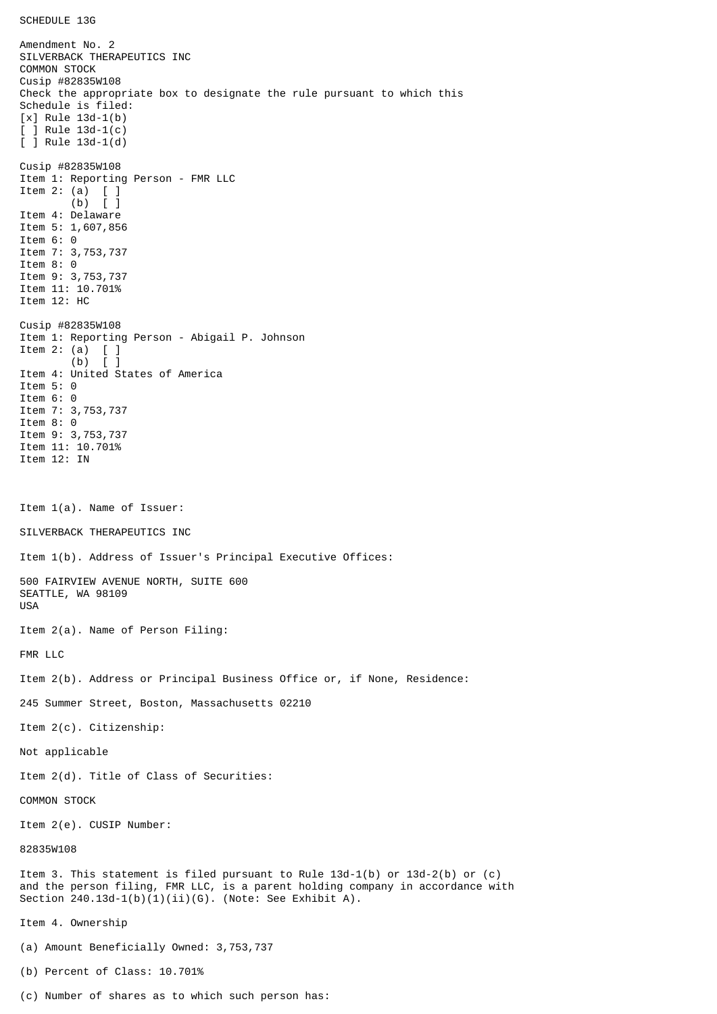SCHEDULE 13G

Amendment No. 2 SILVERBACK THERAPEUTICS INC COMMON STOCK Cusip #82835W108 Check the appropriate box to designate the rule pursuant to which this Schedule is filed: [x] Rule 13d-1(b) [ ] Rule 13d-1(c) [ ] Rule 13d-1(d) Cusip #82835W108 Item 1: Reporting Person - FMR LLC Item 2: (a) [ ] (b) [ ] Item 4: Delaware Item 5: 1,607,856 Item 6: 0 Item 7: 3,753,737 Item 8: 0 Item 9: 3,753,737 Item 11: 10.701% Item 12: HC Cusip #82835W108 Item 1: Reporting Person - Abigail P. Johnson Item 2: (a)  $\begin{bmatrix} 1 \\ 0 \end{bmatrix}$  $(b)$ Item 4: United States of America Item 5: 0 Item 6: 0 Item 7: 3,753,737 Item 8: 0 Item 9: 3,753,737 Item 11: 10.701% Item 12: IN Item 1(a). Name of Issuer: SILVERBACK THERAPEUTICS INC Item 1(b). Address of Issuer's Principal Executive Offices: 500 FAIRVIEW AVENUE NORTH, SUITE 600 SEATTLE, WA 98109 USA Item 2(a). Name of Person Filing: FMR LLC Item 2(b). Address or Principal Business Office or, if None, Residence: 245 Summer Street, Boston, Massachusetts 02210 Item 2(c). Citizenship: Not applicable Item 2(d). Title of Class of Securities: COMMON STOCK Item 2(e). CUSIP Number: 82835W108 Item 3. This statement is filed pursuant to Rule 13d-1(b) or 13d-2(b) or (c) and the person filing, FMR LLC, is a parent holding company in accordance with Section  $240.13d-1(b)(1)(ii)(G)$ . (Note: See Exhibit A). Item 4. Ownership (a) Amount Beneficially Owned: 3,753,737 (b) Percent of Class: 10.701%

(c) Number of shares as to which such person has: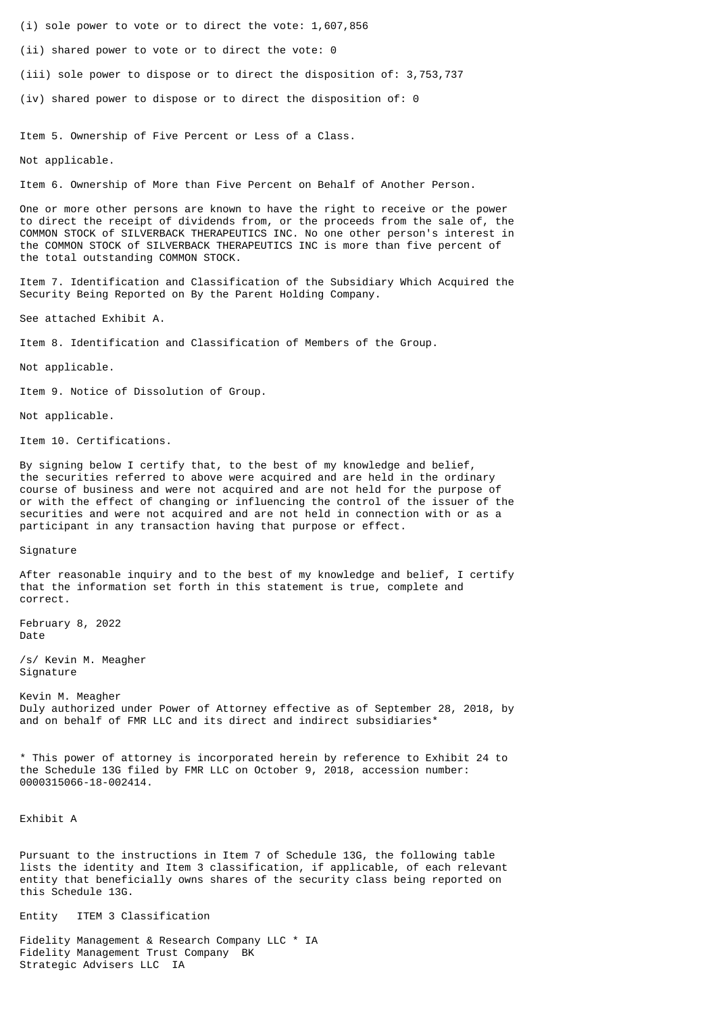- (i) sole power to vote or to direct the vote: 1,607,856
- (ii) shared power to vote or to direct the vote: 0
- (iii) sole power to dispose or to direct the disposition of: 3,753,737
- (iv) shared power to dispose or to direct the disposition of: 0

Item 5. Ownership of Five Percent or Less of a Class.

Not applicable.

Item 6. Ownership of More than Five Percent on Behalf of Another Person.

One or more other persons are known to have the right to receive or the power to direct the receipt of dividends from, or the proceeds from the sale of, the COMMON STOCK of SILVERBACK THERAPEUTICS INC. No one other person's interest in the COMMON STOCK of SILVERBACK THERAPEUTICS INC is more than five percent of the total outstanding COMMON STOCK.

Item 7. Identification and Classification of the Subsidiary Which Acquired the Security Being Reported on By the Parent Holding Company.

See attached Exhibit A.

Item 8. Identification and Classification of Members of the Group.

Not applicable.

Item 9. Notice of Dissolution of Group.

Not applicable.

Item 10. Certifications.

By signing below I certify that, to the best of my knowledge and belief, the securities referred to above were acquired and are held in the ordinary course of business and were not acquired and are not held for the purpose of or with the effect of changing or influencing the control of the issuer of the securities and were not acquired and are not held in connection with or as a participant in any transaction having that purpose or effect.

Signature

After reasonable inquiry and to the best of my knowledge and belief, I certify that the information set forth in this statement is true, complete and correct.

February 8, 2022 Date

/s/ Kevin M. Meagher Signature

Kevin M. Meagher Duly authorized under Power of Attorney effective as of September 28, 2018, by and on behalf of FMR LLC and its direct and indirect subsidiaries\*

\* This power of attorney is incorporated herein by reference to Exhibit 24 to the Schedule 13G filed by FMR LLC on October 9, 2018, accession number: 0000315066-18-002414.

Exhibit A

Pursuant to the instructions in Item 7 of Schedule 13G, the following table lists the identity and Item 3 classification, if applicable, of each relevant entity that beneficially owns shares of the security class being reported on this Schedule 13G.

Entity ITEM 3 Classification

Fidelity Management & Research Company LLC \* IA Fidelity Management Trust Company BK Strategic Advisers LLC IA